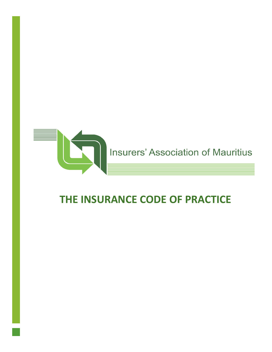

# **THE INSURANCE CODE OF PRACTICE**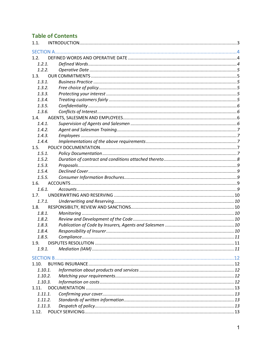## **Table of Contents**

| 1.1.    |  |
|---------|--|
|         |  |
| 1.2.    |  |
| 1.2.1.  |  |
| 1.2.2.  |  |
| 1.3.    |  |
| 1.3.1.  |  |
| 1.3.2.  |  |
| 1.3.3.  |  |
| 1.3.4.  |  |
| 1.3.5.  |  |
| 1.3.6.  |  |
| 1.4.    |  |
| 1.4.1.  |  |
| 1.4.2.  |  |
| 1.4.3.  |  |
| 1.4.4.  |  |
| 1.5.    |  |
| 1.5.1.  |  |
| 1.5.2.  |  |
| 1.5.3.  |  |
| 1.5.4.  |  |
| 1.5.5.  |  |
| 1.6.    |  |
| 1.6.1.  |  |
| 1.7.    |  |
| 1.7.1.  |  |
| 1.8.    |  |
| 1.8.1.  |  |
| 1.8.2.  |  |
| 1.8.3.  |  |
| 1.8.4.  |  |
| 1.8.5.  |  |
| 1.9.    |  |
| 1.9.1.  |  |
|         |  |
| 1.10.   |  |
| 1.10.1. |  |
| 1.10.2. |  |
| 1.10.3. |  |
| 1.11.   |  |
| 1.11.1. |  |
| 1.11.2. |  |
| 1.11.3. |  |
|         |  |
|         |  |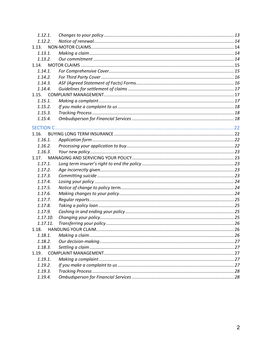| 1.12.1.  |  |
|----------|--|
| 1.12.2.  |  |
| 1.13.    |  |
| 1.13.1.  |  |
| 1.13.2.  |  |
| 1.14.    |  |
| 1.14.1.  |  |
| 1.14.2.  |  |
| 1.14.3.  |  |
| 1.14.4.  |  |
| 1.15.    |  |
| 1.15.1.  |  |
| 1.15.2.  |  |
| 1.15.3.  |  |
| 1.15.4.  |  |
|          |  |
| 1.16.    |  |
| 1.16.1.  |  |
| 1.16.2.  |  |
| 1.16.3.  |  |
| 1.17.    |  |
| 1.17.1.  |  |
| 1.17.2.  |  |
| 1.17.3.  |  |
| 1.17.4.  |  |
| 1.17.5.  |  |
| 1.17.6.  |  |
| 1.17.7.  |  |
| 1.17.8.  |  |
| 1.17.9.  |  |
| 1.17.10. |  |
| 1.17.11. |  |
| 1.18.    |  |
| 1.18.1.  |  |
| 1.18.2.  |  |
| 1.18.3.  |  |
| 1.19.    |  |
| 1.19.1.  |  |
| 1.19.2.  |  |
| 1.19.3.  |  |
| 1.19.4.  |  |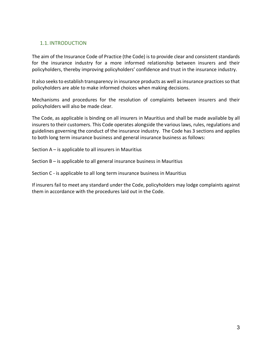## 1.1. INTRODUCTION

The aim of the Insurance Code of Practice (the Code) is to provide clear and consistent standards for the insurance industry for a more informed relationship between insurers and their policyholders, thereby improving policyholders' confidence and trust in the insurance industry.

It also seeks to establish transparency in insurance products as well as insurance practices so that policyholders are able to make informed choices when making decisions.

Mechanisms and procedures for the resolution of complaints between insurers and their policyholders will also be made clear.

The Code, as applicable is binding on all insurers in Mauritius and shall be made available by all insurers to their customers. This Code operates alongside the various laws, rules, regulations and guidelines governing the conduct of the insurance industry. The Code has 3 sections and applies to both long term insurance business and general insurance business as follows:

Section A – is applicable to all insurers in Mauritius

Section B – is applicable to all general insurance business in Mauritius

Section C - is applicable to all long term insurance business in Mauritius

If insurers fail to meet any standard under the Code, policyholders may lodge complaints against them in accordance with the procedures laid out in the Code.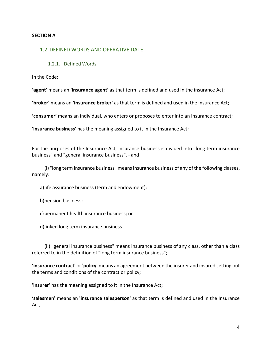#### **SECTION A**

#### 1.2. DEFINED WORDS AND OPERATIVE DATE

#### 1.2.1. Defined Words

In the Code:

**'agent'** means an **'insurance agent'** as that term is defined and used in the insurance Act;

**'broker'** means an **'insurance broker'** as that term is defined and used in the insurance Act;

**'consumer'** means an individual, who enters or proposes to enter into an insurance contract;

**'insurance business'** has the meaning assigned to it in the Insurance Act;

For the purposes of the Insurance Act, insurance business is divided into "long term insurance business" and "general insurance business", - and

(i) "long term insurance business" means insurance business of any of the following classes, namely:

a)life assurance business (term and endowment);

b)pension business;

c) permanent health insurance business; or

d)linked long term insurance business

(ii) "general insurance business" means insurance business of any class, other than a class referred to in the definition of "long term insurance business";

**'insurance contract'** or '**policy'** means an agreement between the insurer and insured setting out the terms and conditions of the contract or policy;

**'insurer'** has the meaning assigned to it in the Insurance Act;

**'salesmen'** means an **'insurance salesperson'** as that term is defined and used in the Insurance Act;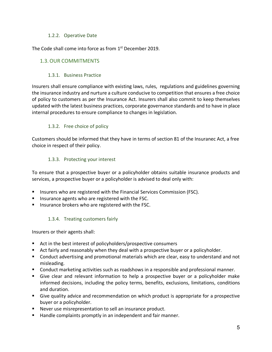#### 1.2.2. Operative Date

The Code shall come into force as from 1<sup>st</sup> December 2019.

#### 1.3.OUR COMMITMENTS

#### 1.3.1. Business Practice

Insurers shall ensure compliance with existing laws, rules, regulations and guidelines governing the insurance industry and nurture a culture conducive to competition that ensures a free choice of policy to customers as per the Insurance Act. Insurers shall also commit to keep themselves updated with the latest business practices, corporate governance standards and to have in place internal procedures to ensure compliance to changes in legislation.

#### 1.3.2. Free choice of policy

Customers should be informed that they have in terms of section 81 of the Insuranec Act, a free choice in respect of their policy.

#### 1.3.3. Protecting your interest

To ensure that a prospective buyer or a policyholder obtains suitable insurance products and services, a prospective buyer or a policyholder is advised to deal only with:

- Insurers who are registered with the Financial Services Commission (FSC).
- Insurance agents who are registered with the FSC.
- Insurance brokers who are registered with the FSC.

#### 1.3.4. Treating customers fairly

Insurers or their agents shall:

- Act in the best interest of policyholders/prospective consumers
- Act fairly and reasonably when they deal with a prospective buyer or a policyholder.
- Conduct advertising and promotional materials which are clear, easy to understand and not misleading.
- Conduct marketing activities such as roadshows in a responsible and professional manner.
- Give clear and relevant information to help a prospective buyer or a policyholder make informed decisions, including the policy terms, benefits, exclusions, limitations, conditions and duration.
- § Give quality advice and recommendation on which product is appropriate for a prospective buyer or a policyholder.
- Never use misrepresentation to sell an insurance product.
- Handle complaints promptly in an independent and fair manner.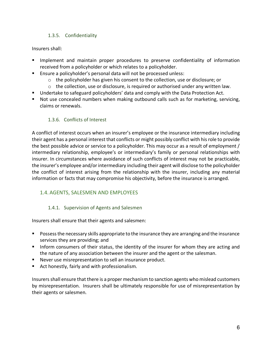## 1.3.5. Confidentiality

Insurers shall:

- Implement and maintain proper procedures to preserve confidentiality of information received from a policyholder or which relates to a policyholder.
- Ensure a policyholder's personal data will not be processed unless:
	- $\circ$  the policyholder has given his consent to the collection, use or disclosure; or
	- $\circ$  the collection, use or disclosure, is required or authorised under any written law.
- Undertake to safeguard policyholders' data and comply with the Data Protection Act.
- Not use concealed numbers when making outbound calls such as for marketing, servicing, claims or renewals.

## 1.3.6. Conflicts of Interest

A conflict of interest occurs when an insurer's employee or the insurance intermediary including their agent has a personal interest that conflicts or might possibly conflict with his role to provide the best possible advice or service to a policyholder. This may occur as a result of employment / intermediary relationship, employee's or intermediary's family or personal relationships with insurer. In circumstances where avoidance of such conflicts of interest may not be practicable, the insurer's employee and/or intermediary including their agent will disclose to the policyholder the conflict of interest arising from the relationship with the insurer, including any material information or facts that may compromise his objectivity, before the insurance is arranged.

## 1.4. AGENTS, SALESMEN AND EMPLOYEES

## 1.4.1. Supervision of Agents and Salesmen

Insurers shall ensure that their agents and salesmen:

- Possess the necessary skills appropriate to the insurance they are arranging and the insurance services they are providing; and
- Inform consumers of their status, the identity of the insurer for whom they are acting and the nature of any association between the insurer and the agent or the salesman.
- Never use misrepresentation to sell an insurance product.
- Act honestly, fairly and with professionalism.

Insurers shall ensure that there is a proper mechanism to sanction agents who mislead customers by misrepresentation. Insurers shall be ultimately responsible for use of misrepresentation by their agents or salesmen.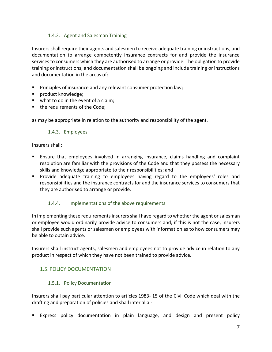## 1.4.2. Agent and Salesman Training

Insurers shall require their agents and salesmen to receive adequate training or instructions, and documentation to arrange competently insurance contracts for and provide the insurance services to consumers which they are authorised to arrange or provide. The obligation to provide training or instructions, and documentation shall be ongoing and include training or instructions and documentation in the areas of:

- **•** Principles of insurance and any relevant consumer protection law;
- product knowledge;
- what to do in the event of a claim;
- the requirements of the Code;

as may be appropriate in relation to the authority and responsibility of the agent.

#### 1.4.3. Employees

#### Insurers shall:

- Ensure that employees involved in arranging insurance, claims handling and complaint resolution are familiar with the provisions of the Code and that they possess the necessary skills and knowledge appropriate to their responsibilities; and
- § Provide adequate training to employees having regard to the employees' roles and responsibilities and the insurance contracts for and the insurance services to consumers that they are authorised to arrange or provide.

#### 1.4.4. Implementations of the above requirements

In implementing these requirements insurers shall have regard to whether the agent or salesman or employee would ordinarily provide advice to consumers and, if this is not the case, insurers shall provide such agents or salesmen or employees with information as to how consumers may be able to obtain advice.

Insurers shall instruct agents, salesmen and employees not to provide advice in relation to any product in respect of which they have not been trained to provide advice.

## 1.5. POLICY DOCUMENTATION

#### 1.5.1. Policy Documentation

Insurers shall pay particular attention to articles 1983- 15 of the Civil Code which deal with the drafting and preparation of policies and shall inter alia:-

§ Express policy documentation in plain language, and design and present policy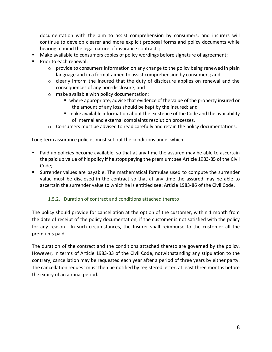documentation with the aim to assist comprehension by consumers; and insurers will continue to develop clearer and more explicit proposal forms and policy documents while bearing in mind the legal nature of insurance contracts;

- Make available to consumers copies of policy wordings before signature of agreement;
- Prior to each renewal:
	- $\circ$  provide to consumers information on any change to the policy being renewed in plain language and in a format aimed to assist comprehension by consumers; and
	- $\circ$  clearly inform the insured that the duty of disclosure applies on renewal and the consequences of any non-disclosure; and
	- o make available with policy documentation:
		- § where appropriate, advice that evidence of the value of the property insured or the amount of any loss should be kept by the insured; and
		- make available information about the existence of the Code and the availability of internal and external complaints resolution processes.
	- $\circ$  Consumers must be advised to read carefully and retain the policy documentations.

Long term assurance policies must set out the conditions under which:

- Paid up policies become available, so that at any time the assured may be able to ascertain the paid up value of his policy if he stops paying the premium: see Article 1983-85 of the Civil Code;
- Surrender values are payable. The mathematical formulae used to compute the surrender value must be disclosed in the contract so that at any time the assured may be able to ascertain the surrender value to which he is entitled see: Article 1983-86 of the Civil Code.

## 1.5.2. Duration of contract and conditions attached thereto

The policy should provide for cancellation at the option of the customer, within 1 month from the date of receipt of the policy documentation, if the customer is not satisfied with the policy for any reason. In such circumstances, the Insurer shall reimburse to the customer all the premiums paid.

The duration of the contract and the conditions attached thereto are governed by the policy. However, in terms of Article 1983-33 of the Civil Code, notwithstanding any stipulation to the contrary, cancellation may be requested each year after a period of three years by either party. The cancellation request must then be notified by registered letter, at least three months before the expiry of an annual period.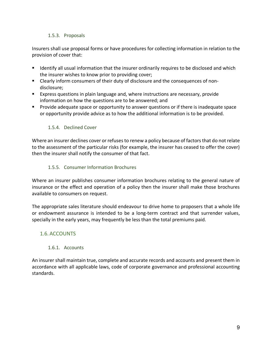#### 1.5.3. Proposals

Insurers shall use proposal forms or have procedures for collecting information in relation to the provision of cover that:

- **■** Identify all usual information that the insurer ordinarily requires to be disclosed and which the insurer wishes to know prior to providing cover;
- Clearly inform consumers of their duty of disclosure and the consequences of nondisclosure;
- Express questions in plain language and, where instructions are necessary, provide information on how the questions are to be answered; and
- Provide adequate space or opportunity to answer questions or if there is inadequate space or opportunity provide advice as to how the additional information is to be provided.

#### 1.5.4. Declined Cover

Where an insurer declines cover or refuses to renew a policy because of factors that do not relate to the assessment of the particular risks (for example, the insurer has ceased to offer the cover) then the insurer shall notify the consumer of that fact.

## 1.5.5. Consumer Information Brochures

Where an insurer publishes consumer information brochures relating to the general nature of insurance or the effect and operation of a policy then the insurer shall make those brochures available to consumers on request.

The appropriate sales literature should endeavour to drive home to proposers that a whole life or endowment assurance is intended to be a long-term contract and that surrender values, specially in the early years, may frequently be less than the total premiums paid.

## 1.6. ACCOUNTS

#### 1.6.1. Accounts

An insurer shall maintain true, complete and accurate records and accounts and present them in accordance with all applicable laws, code of corporate governance and professional accounting standards.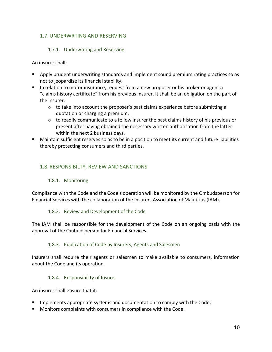## 1.7.UNDERWRTING AND RESERVING

#### 1.7.1. Underwriting and Reserving

An insurer shall:

- § Apply prudent underwriting standards and implement sound premium rating practices so as not to jeopardise its financial stability.
- In relation to motor insurance, request from a new proposer or his broker or agent a "claims history certificate" from his previous insurer. It shall be an obligation on the part of the insurer:
	- $\circ$  to take into account the proposer's past claims experience before submitting a quotation or charging a premium.
	- $\circ$  to readily communicate to a fellow insurer the past claims history of his previous or present after having obtained the necessary written authorisation from the latter within the next 2 business days.
- Maintain sufficient reserves so as to be in a position to meet its current and future liabilities thereby protecting consumers and third parties.

## 1.8. RESPONSIBILTY, REVIEW AND SANCTIONS

#### 1.8.1. Monitoring

Compliance with the Code and the Code's operation will be monitored by the Ombudsperson for Financial Services with the collaboration of the Insurers Association of Mauritius (IAM).

#### 1.8.2. Review and Development of the Code

The IAM shall be responsible for the development of the Code on an ongoing basis with the approval of the Ombudsperson for Financial Services.

#### 1.8.3. Publication of Code by Insurers, Agents and Salesmen

Insurers shall require their agents or salesmen to make available to consumers, information about the Code and its operation.

#### 1.8.4. Responsibility of Insurer

An insurer shall ensure that it:

- **EX Implements appropriate systems and documentation to comply with the Code;**
- Monitors complaints with consumers in compliance with the Code.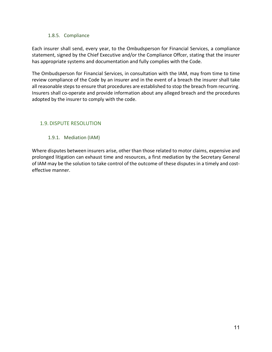#### 1.8.5. Compliance

Each insurer shall send, every year, to the Ombudsperson for Financial Services, a compliance statement, signed by the Chief Executive and/or the Compliance Offcer, stating that the insurer has appropriate systems and documentation and fully complies with the Code.

The Ombudsperson for Financial Services, in consultation with the IAM, may from time to time review compliance of the Code by an insurer and in the event of a breach the insurer shall take all reasonable steps to ensure that procedures are established to stop the breach from recurring. Insurers shall co-operate and provide information about any alleged breach and the procedures adopted by the insurer to comply with the code.

## 1.9. DISPUTE RESOLUTION

1.9.1. Mediation (IAM)

Where disputes between insurers arise, other than those related to motor claims, expensive and prolonged litigation can exhaust time and resources, a first mediation by the Secretary General of IAM may be the solution to take control of the outcome of these disputes in a timely and costeffective manner.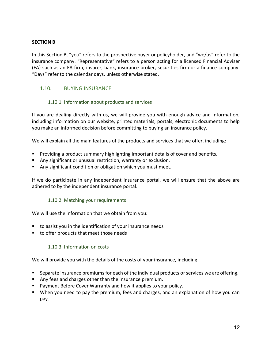#### **SECTION B**

In this Section B, "you" refers to the prospective buyer or policyholder, and "we/us" refer to the insurance company. "Representative" refers to a person acting for a licensed Financial Adviser (FA) such as an FA firm, insurer, bank, insurance broker, securities firm or a finance company. "Days" refer to the calendar days, unless otherwise stated.

## 1.10. BUYING INSURANCE

#### 1.10.1. Information about products and services

If you are dealing directly with us, we will provide you with enough advice and information, including information on our website, printed materials, portals, electronic documents to help you make an informed decision before committing to buying an insurance policy.

We will explain all the main features of the products and services that we offer, including:

- Providing a product summary highlighting important details of cover and benefits.
- Any significant or unusual restriction, warranty or exclusion.
- Any significant condition or obligation which you must meet.

If we do participate in any independent insurance portal, we will ensure that the above are adhered to by the independent insurance portal.

#### 1.10.2. Matching your requirements

We will use the information that we obtain from you:

- to assist you in the identification of your insurance needs
- to offer products that meet those needs

#### 1.10.3. Information on costs

We will provide you with the details of the costs of your insurance, including:

- Separate insurance premiums for each of the individual products or services we are offering.
- Any fees and charges other than the insurance premium.
- Payment Before Cover Warranty and how it applies to your policy.
- When you need to pay the premium, fees and charges, and an explanation of how you can pay.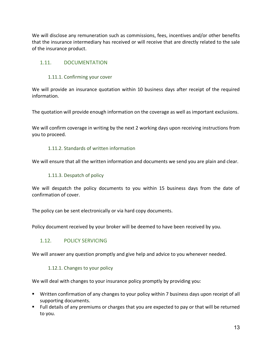We will disclose any remuneration such as commissions, fees, incentives and/or other benefits that the insurance intermediary has received or will receive that are directly related to the sale of the insurance product.

## 1.11. DOCUMENTATION

#### 1.11.1. Confirming your cover

We will provide an insurance quotation within 10 business days after receipt of the required information.

The quotation will provide enough information on the coverage as well as important exclusions.

We will confirm coverage in writing by the next 2 working days upon receiving instructions from you to proceed.

#### 1.11.2. Standards of written information

We will ensure that all the written information and documents we send you are plain and clear.

#### 1.11.3. Despatch of policy

We will despatch the policy documents to you within 15 business days from the date of confirmation of cover.

The policy can be sent electronically or via hard copy documents.

Policy document received by your broker will be deemed to have been received by you.

#### 1.12. POLICY SERVICING

We will answer any question promptly and give help and advice to you whenever needed.

#### 1.12.1. Changes to your policy

We will deal with changes to your insurance policy promptly by providing you:

- § Written confirmation of any changes to your policy within 7 business days upon receipt of all supporting documents.
- § Full details of any premiums or charges that you are expected to pay or that will be returned to you.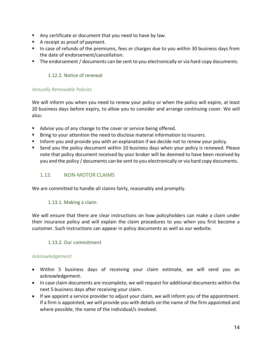- Any certificate or document that you need to have by law.
- A receipt as proof of payment.
- In case of refunds of the premiums, fees or charges due to you within 30 business days from the date of endorsement/cancellation.
- The endorsement / documents can be sent to you electronically or via hard copy documents.

## 1.12.2. Notice of renewal

## *Annually Renewable Policies*

We will inform you when you need to renew your policy or when the policy will expire, at least 20 business days before expiry, to allow you to consider and arrange continuing cover. We will also:

- Advise you of any change to the cover or service being offered.
- **•** Bring to your attention the need to disclose material information to insurers.
- **■** Inform you and provide you with an explanation if we decide not to renew your policy.
- Send you the policy document within 10 business days when your policy is renewed. Please note that policy document received by your broker will be deemed to have been received by you and the policy / documents can be sent to you electronically or via hard copy documents.

## 1.13. NON-MOTOR CLAIMS

We are committed to handle all claims fairly, reasonably and promptly.

#### 1.13.1. Making a claim

We will ensure that there are clear instructions on how policyholders can make a claim under their insurance policy and will explain the claim procedures to you when you first become a customer. Such instructions can appear in policy documents as well as our website.

#### 1.13.2. Our commitment

#### *Acknowledgement:*

- Within 5 business days of receiving your claim estimate, we will send you an acknowledgement.
- In case claim documents are incomplete, we will request for additional documents within the next 5 business days after receiving your claim.
- If we appoint a service provider to adjust your claim, we will inform you of the appointment. If a firm is appointed, we will provide you with details on the name of the firm appointed and where possible, the name of the individual/s involved.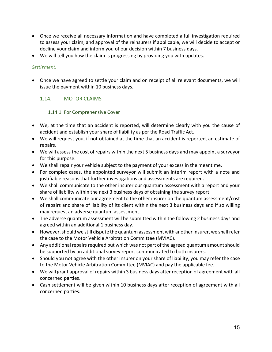- Once we receive all necessary information and have completed a full investigation required to assess your claim, and approval of the reinsurers if applicable, we will decide to accept or decline your claim and inform you of our decision within 7 business days.
- We will tell you how the claim is progressing by providing you with updates.

## *Settlement:*

• Once we have agreed to settle your claim and on receipt of all relevant documents, we will issue the payment within 10 business days.

## 1.14. MOTOR CLAIMS

## 1.14.1. For Comprehensive Cover

- We, at the time that an accident is reported, will determine clearly with you the cause of accident and establish your share of liability as per the Road Traffic Act.
- We will request you, if not obtained at the time that an accident is reported, an estimate of repairs.
- We will assess the cost of repairs within the next 5 business days and may appoint a surveyor for this purpose.
- We shall repair your vehicle subject to the payment of your excess in the meantime.
- For complex cases, the appointed surveyor will submit an interim report with a note and justifiable reasons that further investigations and assessments are required.
- We shall communicate to the other insurer our quantum assessment with a report and your share of liability within the next 3 business days of obtaining the survey report.
- We shall communicate our agreement to the other insurer on the quantum assessment/cost of repairs and share of liability of its client within the next 3 business days and if so willing may request an adverse quantum assessment.
- The adverse quantum assessment will be submitted within the following 2 business days and agreed within an additional 1 business day.
- However, should we still dispute the quantum assessment with another insurer, we shall refer the case to the Motor Vehicle Arbitration Committee (MVIAC).
- Any additional repairs required but which was not part of the agreed quantum amount should be supported by an additional survey report communicated to both insurers.
- Should you not agree with the other insurer on your share of liability, you may refer the case to the Motor Vehicle Arbitration Committee (MVIAC) and pay the applicable fee.
- We will grant approval of repairs within 3 business days after reception of agreement with all concerned parties.
- Cash settlement will be given within 10 business days after reception of agreement with all concerned parties.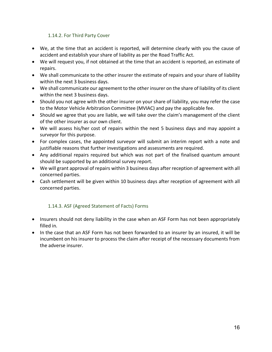#### 1.14.2. For Third Party Cover

- We, at the time that an accident is reported, will determine clearly with you the cause of accident and establish your share of liability as per the Road Traffic Act.
- We will request you, if not obtained at the time that an accident is reported, an estimate of repairs.
- We shall communicate to the other insurer the estimate of repairs and your share of liability within the next 3 business days.
- We shall communicate our agreement to the other insurer on the share of liability of its client within the next 3 business days.
- Should you not agree with the other insurer on your share of liability, you may refer the case to the Motor Vehicle Arbitration Committee (MVIAC) and pay the applicable fee.
- Should we agree that you are liable, we will take over the claim's management of the client of the other insurer as our own client.
- We will assess his/her cost of repairs within the next 5 business days and may appoint a surveyor for this purpose.
- For complex cases, the appointed surveyor will submit an interim report with a note and justifiable reasons that further investigations and assessments are required.
- Any additional repairs required but which was not part of the finalised quantum amount should be supported by an additional survey report.
- We will grant approval of repairs within 3 business days after reception of agreement with all concerned parties.
- Cash settlement will be given within 10 business days after reception of agreement with all concerned parties.

## 1.14.3. ASF (Agreed Statement of Facts) Forms

- Insurers should not deny liability in the case when an ASF Form has not been appropriately filled in.
- In the case that an ASF Form has not been forwarded to an insurer by an insured, it will be incumbent on his insurer to process the claim after receipt of the necessary documents from the adverse insurer.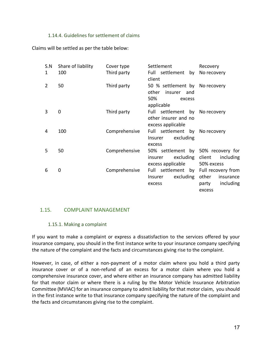#### 1.14.4. Guidelines for settlement of claims

Claims will be settled as per the table below:

| S.N | Share of liability | Cover type    | Settlement                                                                               | Recovery                                  |
|-----|--------------------|---------------|------------------------------------------------------------------------------------------|-------------------------------------------|
| 1   | 100                | Third party   | Full settlement by No recovery<br>client                                                 |                                           |
| 2   | 50                 | Third party   | 50 % settlement by No recovery<br>other<br>insurer<br>and<br>50%<br>excess<br>applicable |                                           |
| 3   | 0                  | Third party   | Full settlement by No recovery<br>other insurer and no<br>excess applicable              |                                           |
| 4   | 100                | Comprehensive | Full settlement by No recovery<br>excluding<br>Insurer<br>excess                         |                                           |
| 5   | 50                 | Comprehensive | 50% settlement by 50% recovery for<br>excluding client<br>insurer<br>excess applicable   | including<br>50% excess                   |
| 6   | 0                  | Comprehensive | Full settlement by Full recovery from<br>excluding other<br><b>Insurer</b><br>excess     | insurance<br>including<br>party<br>excess |

#### 1.15. COMPLAINT MANAGEMENT

#### 1.15.1. Making a complaint

If you want to make a complaint or express a dissatisfaction to the services offered by your insurance company, you should in the first instance write to your insurance company specifying the nature of the complaint and the facts and circumstances giving rise to the complaint.

However, in case, of either a non-payment of a motor claim where you hold a third party insurance cover or of a non-refund of an excess for a motor claim where you hold a comprehensive insurance cover, and where either an insurance company has admitted liability for that motor claim or where there is a ruling by the Motor Vehicle Insurance Arbitration Committee (MVIAC) for an insurance company to admit liability for that motor claim, you should in the first instance write to that insurance company specifying the nature of the complaint and the facts and circumstances giving rise to the complaint.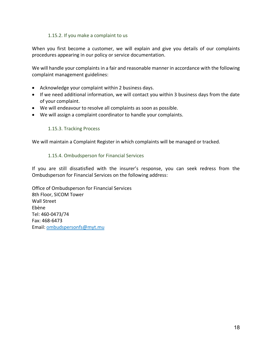#### 1.15.2. If you make a complaint to us

When you first become a customer, we will explain and give you details of our complaints procedures appearing in our policy or service documentation.

We will handle your complaints in a fair and reasonable manner in accordance with the following complaint management guidelines:

- Acknowledge your complaint within 2 business days.
- If we need additional information, we will contact you within 3 business days from the date of your complaint.
- We will endeavour to resolve all complaints as soon as possible.
- We will assign a complaint coordinator to handle your complaints.

#### 1.15.3. Tracking Process

We will maintain a Complaint Register in which complaints will be managed or tracked.

#### 1.15.4. Ombudsperson for Financial Services

If you are still dissatisfied with the insurer's response, you can seek redress from the Ombudsperson for Financial Services on the following address:

Office of Ombudsperson for Financial Services 8th Floor, SICOM Tower Wall Street Ebène Tel: 460-0473/74 Fax: 468-6473 Email: ombudspersonfs@myt.mu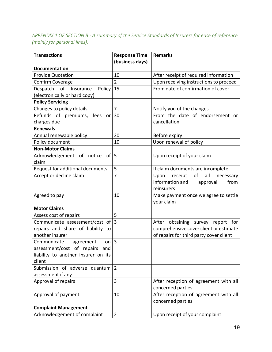## *APPENDIX 1 OF SECTION B - A summary of the Service Standards of Insurers for ease of reference (mainly for personal lines).*

| <b>Transactions</b>                 | <b>Response Time</b><br>(business days) | <b>Remarks</b>                            |
|-------------------------------------|-----------------------------------------|-------------------------------------------|
| <b>Documentation</b>                |                                         |                                           |
| <b>Provide Quotation</b>            | 10                                      | After receipt of required information     |
| Confirm Coverage                    | $\overline{2}$                          | Upon receiving instructions to proceed    |
| Despatch of<br>Insurance<br>Policy  | 15                                      | From date of confirmation of cover        |
| (electronically or hard copy)       |                                         |                                           |
| <b>Policy Servicing</b>             |                                         |                                           |
| Changes to policy details           | $\overline{7}$                          | Notify you of the changes                 |
| Refunds of premiums, fees<br>or     | 30                                      | From the date of endorsement or           |
| charges due                         |                                         | cancellation                              |
| <b>Renewals</b>                     |                                         |                                           |
| Annual renewable policy             | 20                                      | Before expiry                             |
| Policy document                     | 10                                      | Upon renewal of policy                    |
| <b>Non-Motor Claims</b>             |                                         |                                           |
| of l<br>Acknowledgement of notice   | 5                                       | Upon receipt of your claim                |
| claim                               |                                         |                                           |
| Request for additional documents    | 5                                       | If claim documents are incomplete         |
| Accept or decline claim             | $\overline{7}$                          | of<br>all<br>Upon<br>receipt<br>necessary |
|                                     |                                         | information and<br>from<br>approval       |
|                                     |                                         | reinsurers                                |
| Agreed to pay                       | 10                                      | Make payment once we agree to settle      |
|                                     |                                         | your claim                                |
| <b>Motor Claims</b>                 |                                         |                                           |
| Assess cost of repairs              | 5                                       |                                           |
| Communicate assessment/cost of      | $\overline{3}$                          | After obtaining survey report for         |
| repairs and share of liability to   |                                         | comprehensive cover client or estimate    |
| another insurer                     |                                         | of repairs for third party cover client   |
| on $ 3$<br>Communicate<br>agreement |                                         |                                           |
| assessment/cost of repairs<br>and   |                                         |                                           |
| liability to another insurer on its |                                         |                                           |
| client                              |                                         |                                           |
| Submission of adverse quantum       | $\overline{2}$                          |                                           |
| assessment if any                   |                                         |                                           |
| Approval of repairs                 | 3                                       | After reception of agreement with all     |
|                                     |                                         | concerned parties                         |
| Approval of payment                 | 10                                      | After reception of agreement with all     |
|                                     |                                         | concerned parties                         |
| <b>Complaint Management</b>         |                                         |                                           |
| Acknowledgement of complaint        | $\overline{2}$                          | Upon receipt of your complaint            |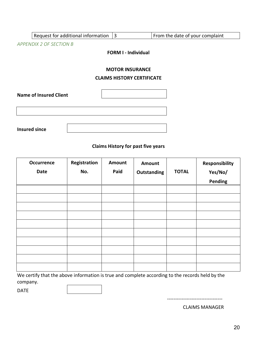|                      | Request for additional information                          | $\overline{3}$             | From the date of your complaint |  |  |  |  |
|----------------------|-------------------------------------------------------------|----------------------------|---------------------------------|--|--|--|--|
|                      | APPENDIX 2 OF SECTION B                                     |                            |                                 |  |  |  |  |
|                      |                                                             | <b>FORM I - Individual</b> |                                 |  |  |  |  |
|                      | <b>MOTOR INSURANCE</b><br><b>CLAIMS HISTORY CERTIFICATE</b> |                            |                                 |  |  |  |  |
|                      | <b>Name of Insured Client</b>                               |                            |                                 |  |  |  |  |
|                      |                                                             |                            |                                 |  |  |  |  |
| <b>Insured since</b> |                                                             |                            |                                 |  |  |  |  |

#### **Claims History for past five years**

| <b>Occurrence</b> | Registration | Amount | <b>Amount</b>      |              | Responsibility |
|-------------------|--------------|--------|--------------------|--------------|----------------|
| <b>Date</b>       | No.          | Paid   | <b>Outstanding</b> | <b>TOTAL</b> | Yes/No/        |
|                   |              |        |                    |              | Pending        |
|                   |              |        |                    |              |                |
|                   |              |        |                    |              |                |
|                   |              |        |                    |              |                |
|                   |              |        |                    |              |                |
|                   |              |        |                    |              |                |
|                   |              |        |                    |              |                |
|                   |              |        |                    |              |                |
|                   |              |        |                    |              |                |
|                   |              |        |                    |              |                |
|                   |              |        |                    |              |                |

We certify that the above information is true and complete according to the records held by the company.

DATE

CLAIMS MANAGER

----------------------------------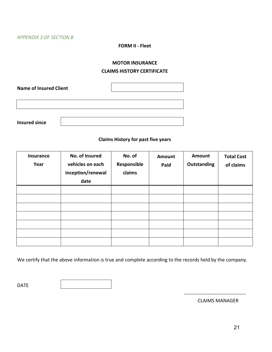#### **FORM II - Fleet**

#### **MOTOR INSURANCE**

#### **CLAIMS HISTORY CERTIFICATE**

**Name of Insured Client Insured since**

#### **Claims History for past five years**

| <b>Insurance</b><br>Year | No. of Insured<br>vehicles on each<br>inception/renewal<br>date | No. of<br>Responsible<br>claims | Amount<br>Paid | Amount<br><b>Outstanding</b> | <b>Total Cost</b><br>of claims |
|--------------------------|-----------------------------------------------------------------|---------------------------------|----------------|------------------------------|--------------------------------|
|                          |                                                                 |                                 |                |                              |                                |
|                          |                                                                 |                                 |                |                              |                                |
|                          |                                                                 |                                 |                |                              |                                |
|                          |                                                                 |                                 |                |                              |                                |
|                          |                                                                 |                                 |                |                              |                                |
|                          |                                                                 |                                 |                |                              |                                |
|                          |                                                                 |                                 |                |                              |                                |

We certify that the above information is true and complete according to the records held by the company.

DATE

--------------------------------------

CLAIMS MANAGER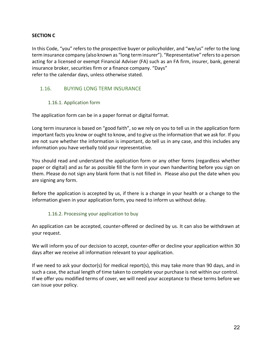## **SECTION C**

In this Code, "you" refers to the prospective buyer or policyholder, and "we/us" refer to the long term insurance company (also known as "long term insurer"). "Representative" refers to a person acting for a licensed or exempt Financial Adviser (FA) such as an FA firm, insurer, bank, general insurance broker, securities firm or a finance company. "Days" refer to the calendar days, unless otherwise stated.

## 1.16. BUYING LONG TERM INSURANCE

#### 1.16.1. Application form

The application form can be in a paper format or digital format.

Long term insurance is based on "good faith", so we rely on you to tell us in the application form important facts you know or ought to know, and to give us the information that we ask for. If you are not sure whether the information is important, do tell us in any case, and this includes any information you have verbally told your representative.

You should read and understand the application form or any other forms (regardless whether paper or digital) and as far as possible fill the form in your own handwriting before you sign on them. Please do not sign any blank form that is not filled in. Please also put the date when you are signing any form.

Before the application is accepted by us, if there is a change in your health or a change to the information given in your application form, you need to inform us without delay.

#### 1.16.2. Processing your application to buy

An application can be accepted, counter-offered or declined by us. It can also be withdrawn at your request.

We will inform you of our decision to accept, counter-offer or decline your application within 30 days after we receive all information relevant to your application.

If we need to ask your doctor(s) for medical report(s), this may take more than 90 days, and in such a case, the actual length of time taken to complete your purchase is not within our control. If we offer you modified terms of cover, we will need your acceptance to these terms before we can issue your policy.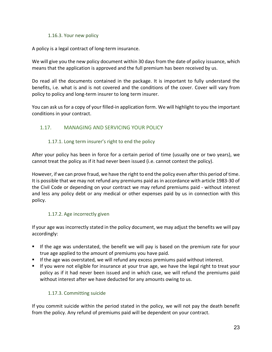#### 1.16.3. Your new policy

A policy is a legal contract of long-term insurance.

We will give you the new policy document within 30 days from the date of policy issuance, which means that the application is approved and the full premium has been received by us.

Do read all the documents contained in the package. It is important to fully understand the benefits, i.e. what is and is not covered and the conditions of the cover. Cover will vary from policy to policy and long-term insurer to long term insurer.

You can ask us for a copy of your filled-in application form. We will highlight to you the important conditions in your contract.

## 1.17. MANAGING AND SERVICING YOUR POLICY

## 1.17.1. Long term insurer's right to end the policy

After your policy has been in force for a certain period of time (usually one or two years), we cannot treat the policy as if it had never been issued (i.e. cannot contest the policy).

However, if we can prove fraud, we have the right to end the policy even after this period of time. It is possible that we may not refund any premiums paid as in accordance with article 1983-30 of the Civil Code or depending on your contract we may refund premiums paid - without interest and less any policy debt or any medical or other expenses paid by us in connection with this policy.

## 1.17.2. Age incorrectly given

If your age was incorrectly stated in the policy document, we may adjust the benefits we will pay accordingly:

- If the age was understated, the benefit we will pay is based on the premium rate for your true age applied to the amount of premiums you have paid.
- If the age was overstated, we will refund any excess premiums paid without interest.
- If you were not eligible for insurance at your true age, we have the legal right to treat your policy as if it had never been issued and in which case, we will refund the premiums paid without interest after we have deducted for any amounts owing to us.

## 1.17.3. Committing suicide

If you commit suicide within the period stated in the policy, we will not pay the death benefit from the policy. Any refund of premiums paid will be dependent on your contract.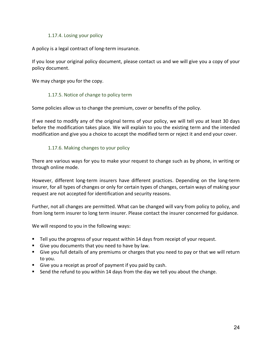#### 1.17.4. Losing your policy

A policy is a legal contract of long-term insurance.

If you lose your original policy document, please contact us and we will give you a copy of your policy document.

We may charge you for the copy.

#### 1.17.5. Notice of change to policy term

Some policies allow us to change the premium, cover or benefits of the policy.

If we need to modify any of the original terms of your policy, we will tell you at least 30 days before the modification takes place. We will explain to you the existing term and the intended modification and give you a choice to accept the modified term or reject it and end your cover.

#### 1.17.6. Making changes to your policy

There are various ways for you to make your request to change such as by phone, in writing or through online mode.

However, different long-term insurers have different practices. Depending on the long-term insurer, for all types of changes or only for certain types of changes, certain ways of making your request are not accepted for identification and security reasons.

Further, not all changes are permitted. What can be changed will vary from policy to policy, and from long term insurer to long term insurer. Please contact the insurer concerned for guidance.

We will respond to you in the following ways:

- Tell you the progress of your request within 14 days from receipt of your request.
- Give you documents that you need to have by law.
- Give you full details of any premiums or charges that you need to pay or that we will return to you.
- Give you a receipt as proof of payment if you paid by cash.
- Send the refund to you within 14 days from the day we tell you about the change.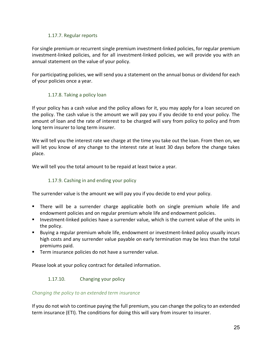#### 1.17.7. Regular reports

For single premium or recurrent single premium investment-linked policies, for regular premium investment-linked policies, and for all investment-linked policies, we will provide you with an annual statement on the value of your policy.

For participating policies, we will send you a statement on the annual bonus or dividend for each of your policies once a year.

## 1.17.8. Taking a policy loan

If your policy has a cash value and the policy allows for it, you may apply for a loan secured on the policy. The cash value is the amount we will pay you if you decide to end your policy. The amount of loan and the rate of interest to be charged will vary from policy to policy and from long term insurer to long term insurer.

We will tell you the interest rate we charge at the time you take out the loan. From then on, we will let you know of any change to the interest rate at least 30 days before the change takes place.

We will tell you the total amount to be repaid at least twice a year.

## 1.17.9. Cashing in and ending your policy

The surrender value is the amount we will pay you if you decide to end your policy.

- § There will be a surrender charge applicable both on single premium whole life and endowment policies and on regular premium whole life and endowment policies.
- Investment-linked policies have a surrender value, which is the current value of the units in the policy.
- § Buying a regular premium whole life, endowment or investment-linked policy usually incurs high costs and any surrender value payable on early termination may be less than the total premiums paid.
- Term insurance policies do not have a surrender value.

Please look at your policy contract for detailed information.

## 1.17.10. Changing your policy

#### *Changing the policy to an extended term insurance*

If you do not wish to continue paying the full premium, you can change the policy to an extended term insurance (ETI). The conditions for doing this will vary from insurer to insurer.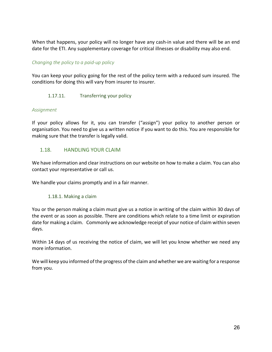When that happens, your policy will no longer have any cash-in value and there will be an end date for the ETI. Any supplementary coverage for critical illnesses or disability may also end.

## *Changing the policy to a paid-up policy*

You can keep your policy going for the rest of the policy term with a reduced sum insured. The conditions for doing this will vary from insurer to insurer.

1.17.11. Transferring your policy

#### *Assignment*

If your policy allows for it, you can transfer ("assign") your policy to another person or organisation. You need to give us a written notice if you want to do this. You are responsible for making sure that the transfer is legally valid.

#### 1.18. HANDLING YOUR CLAIM

We have information and clear instructions on our website on how to make a claim. You can also contact your representative or call us.

We handle your claims promptly and in a fair manner.

#### 1.18.1. Making a claim

You or the person making a claim must give us a notice in writing of the claim within 30 days of the event or as soon as possible. There are conditions which relate to a time limit or expiration date for making a claim. Commonly we acknowledge receipt of your notice of claim within seven days.

Within 14 days of us receiving the notice of claim, we will let you know whether we need any more information.

We will keep you informed of the progress of the claim and whether we are waiting for a response from you.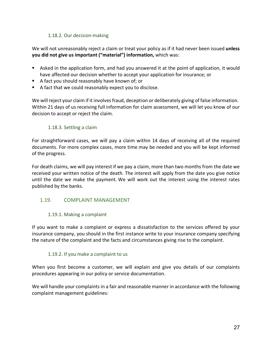#### 1.18.2. Our decision-making

We will not unreasonably reject a claim or treat your policy as if it had never been issued **unless you did not give us important ("material") information,** which was:

- Asked in the application form, and had you answered it at the point of application, it would have affected our decision whether to accept your application for insurance; or
- A fact you should reasonably have known of; or
- A fact that we could reasonably expect you to disclose.

We will reject your claim if it involves fraud, deception or deliberately giving of false information. Within 21 days of us receiving full information for claim assessment, we will let you know of our decision to accept or reject the claim.

#### 1.18.3. Settling a claim

For straightforward cases, we will pay a claim within 14 days of receiving all of the required documents. For more complex cases, more time may be needed and you will be kept informed of the progress.

For death claims, we will pay interest if we pay a claim, more than two months from the date we received your written notice of the death. The interest will apply from the date you give notice until the date we make the payment. We will work out the interest using the interest rates published by the banks.

#### 1.19. COMPLAINT MANAGEMENT

#### 1.19.1. Making a complaint

If you want to make a complaint or express a dissatisfaction to the services offered by your insurance company, you should in the first instance write to your insurance company specifying the nature of the complaint and the facts and circumstances giving rise to the complaint.

#### 1.19.2. If you make a complaint to us

When you first become a customer, we will explain and give you details of our complaints procedures appearing in our policy or service documentation.

We will handle your complaints in a fair and reasonable manner in accordance with the following complaint management guidelines: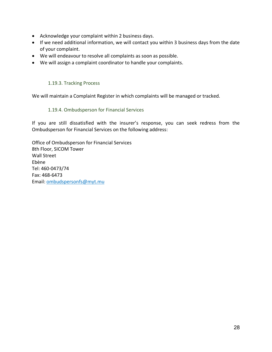- Acknowledge your complaint within 2 business days.
- If we need additional information, we will contact you within 3 business days from the date of your complaint.
- We will endeavour to resolve all complaints as soon as possible.
- We will assign a complaint coordinator to handle your complaints.

## 1.19.3. Tracking Process

We will maintain a Complaint Register in which complaints will be managed or tracked.

## 1.19.4. Ombudsperson for Financial Services

If you are still dissatisfied with the insurer's response, you can seek redress from the Ombudsperson for Financial Services on the following address:

Office of Ombudsperson for Financial Services 8th Floor, SICOM Tower Wall Street Ebène Tel: 460-0473/74 Fax: 468-6473 Email: ombudspersonfs@myt.mu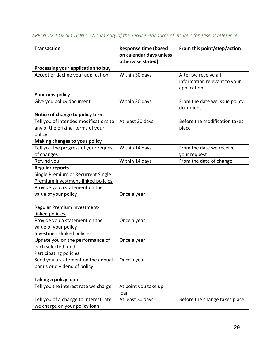| <b>Transaction</b>                                                                                                                 | <b>Response time (based</b><br>on calendar days unless<br>otherwise stated) | From this point/step/action                                         |
|------------------------------------------------------------------------------------------------------------------------------------|-----------------------------------------------------------------------------|---------------------------------------------------------------------|
| Processing your application to buy                                                                                                 |                                                                             |                                                                     |
| Accept or decline your application                                                                                                 | Within 30 days                                                              | After we receive all<br>information relevant to your<br>application |
| Your new policy                                                                                                                    |                                                                             |                                                                     |
| Give you policy document                                                                                                           | Within 30 days                                                              | From the date we issue policy<br>document                           |
| Notice of change to policy term                                                                                                    |                                                                             |                                                                     |
| Tell you of intended modifications to<br>any of the original terms of your<br>policy                                               | At least 30 days                                                            | Before the modification takes<br>place                              |
| Making changes to your policy                                                                                                      |                                                                             |                                                                     |
| Tell you the progress of your request<br>of changes                                                                                | Within 14 days                                                              | From the date we receive<br>your request                            |
| Refund you                                                                                                                         | Within 14 days                                                              | From the date of change                                             |
| <b>Regular reports</b>                                                                                                             |                                                                             |                                                                     |
| Single Premium or Recurrent Single<br>Premium Investment-linked policies<br>Provide you a statement on the<br>value of your policy | Once a year                                                                 |                                                                     |
| Regular Premium Investment-<br>linked policies                                                                                     |                                                                             |                                                                     |
| Provide you a statement on the<br>value of your policy                                                                             | Once a year                                                                 |                                                                     |
| Investment-linked policies<br>Update you on the performance of<br>each selected fund                                               | Once a year                                                                 |                                                                     |
| Participating policies<br>Send you a statement on the annual<br>bonus or dividend of policy                                        | Once a year                                                                 |                                                                     |
| Taking a policy loan                                                                                                               |                                                                             |                                                                     |
| Tell you the interest rate we charge                                                                                               | At point you take up<br>loan                                                |                                                                     |
| Tell you of a change to interest rate<br>we charge on your policy loan                                                             | At least 30 days                                                            | Before the change takes place                                       |

# *APPENDIX 1 OF SECTION C - A summary of the Service Standards of Insurers for ease of reference.*